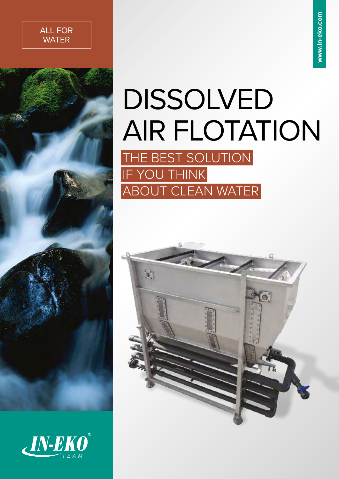





# DISSOLVED AIR FLOTATION

THE BEST SOLUTION IF YOU THINK ABOUT CLEAN WATER